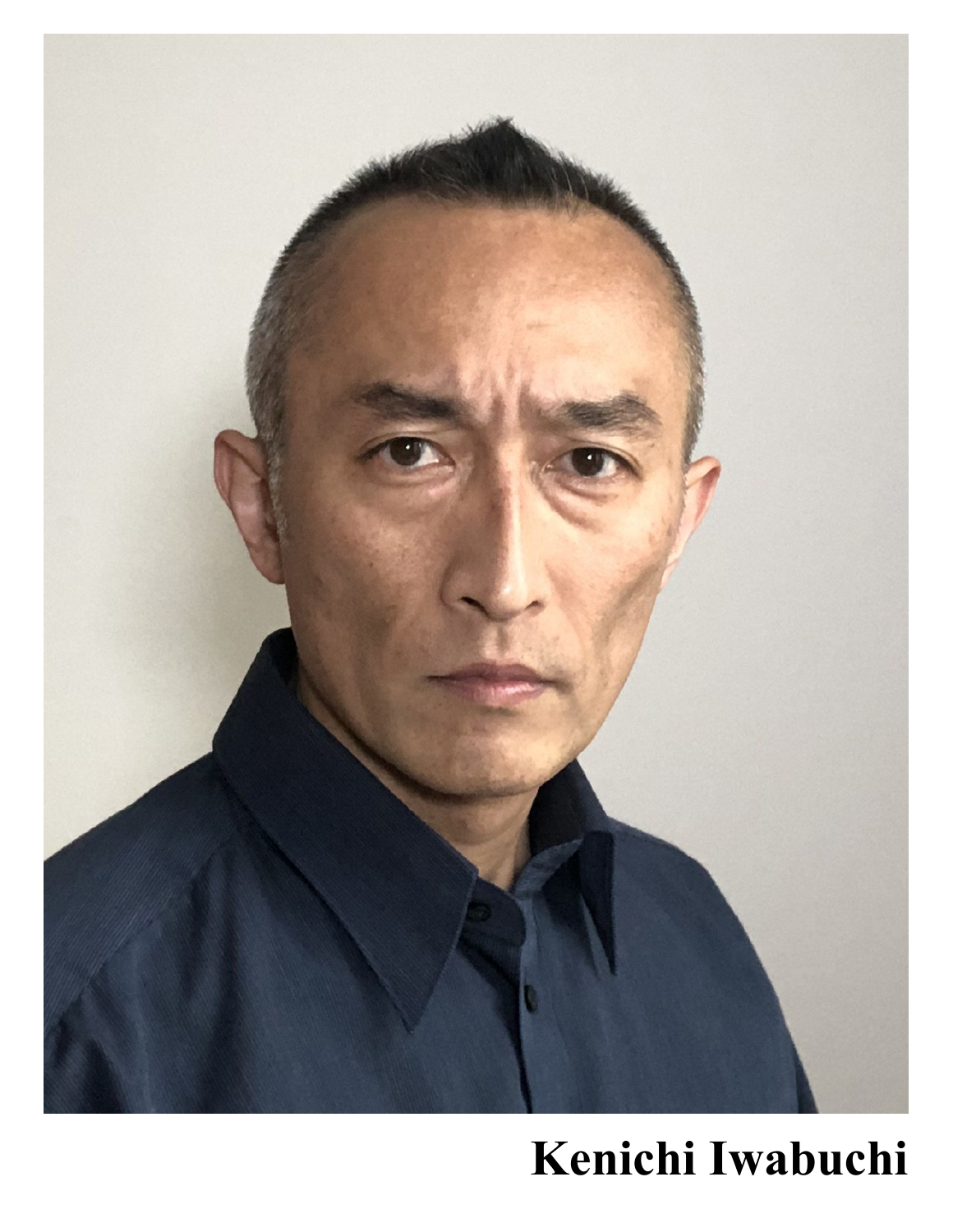

# **Kenichi Iwabuchi**